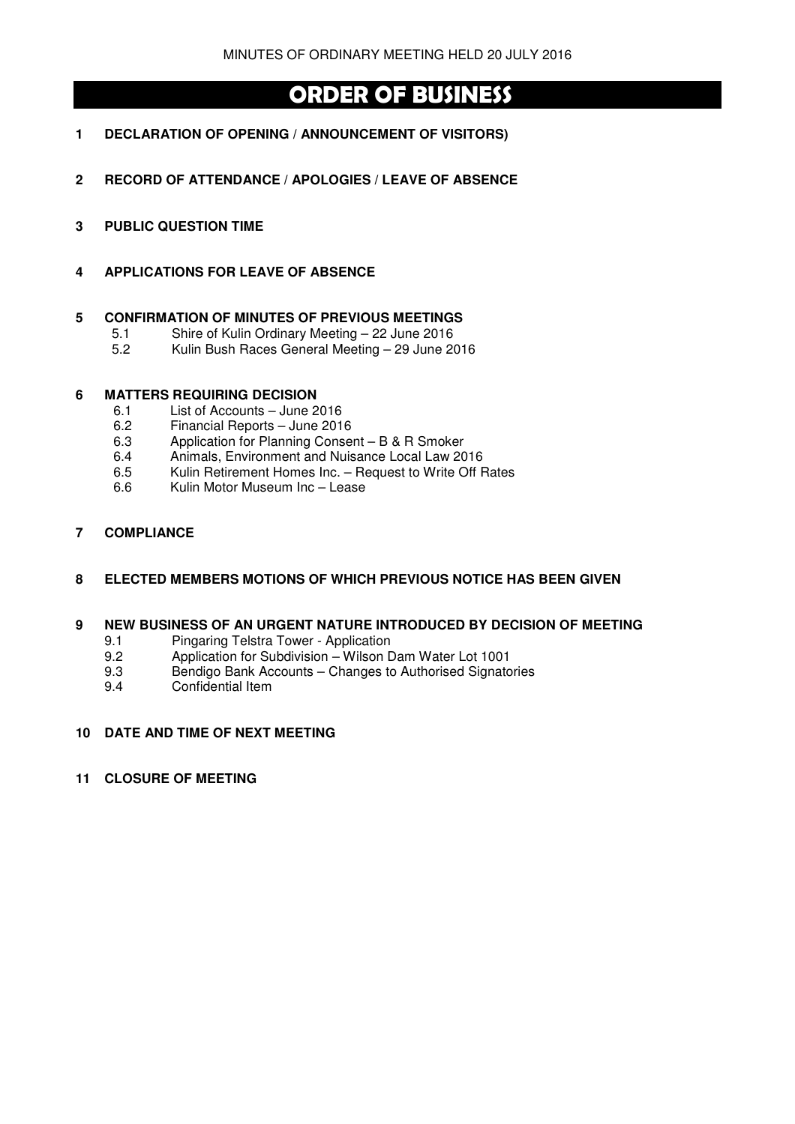# **ORDER OF BUSINESS**

- **1 DECLARATION OF OPENING / ANNOUNCEMENT OF VISITORS)**
- **2 RECORD OF ATTENDANCE / APOLOGIES / LEAVE OF ABSENCE**
- **3 PUBLIC QUESTION TIME**
- **4 APPLICATIONS FOR LEAVE OF ABSENCE**

## **5 CONFIRMATION OF MINUTES OF PREVIOUS MEETINGS**

- 5.1 Shire of Kulin Ordinary Meeting 22 June 2016
- 5.2 Kulin Bush Races General Meeting 29 June 2016

## **6 MATTERS REQUIRING DECISION**

- 6.1 List of Accounts June 2016
- 6.2 Financial Reports June 2016<br>6.3 Application for Planning Conse
- Application for Planning Consent B & R Smoker
- 6.4 Animals, Environment and Nuisance Local Law 2016
- 6.5 Kulin Retirement Homes Inc. Request to Write Off Rates
- 6.6 Kulin Motor Museum Inc Lease

## **7 COMPLIANCE**

## **8 ELECTED MEMBERS MOTIONS OF WHICH PREVIOUS NOTICE HAS BEEN GIVEN**

#### **9 NEW BUSINESS OF AN URGENT NATURE INTRODUCED BY DECISION OF MEETING**

- 9.1 Pingaring Telstra Tower Application
- 9.2 Application for Subdivision Wilson Dam Water Lot 1001
- 9.3 Bendigo Bank Accounts Changes to Authorised Signatories
- 9.4 Confidential Item

## **10 DATE AND TIME OF NEXT MEETING**

#### **11 CLOSURE OF MEETING**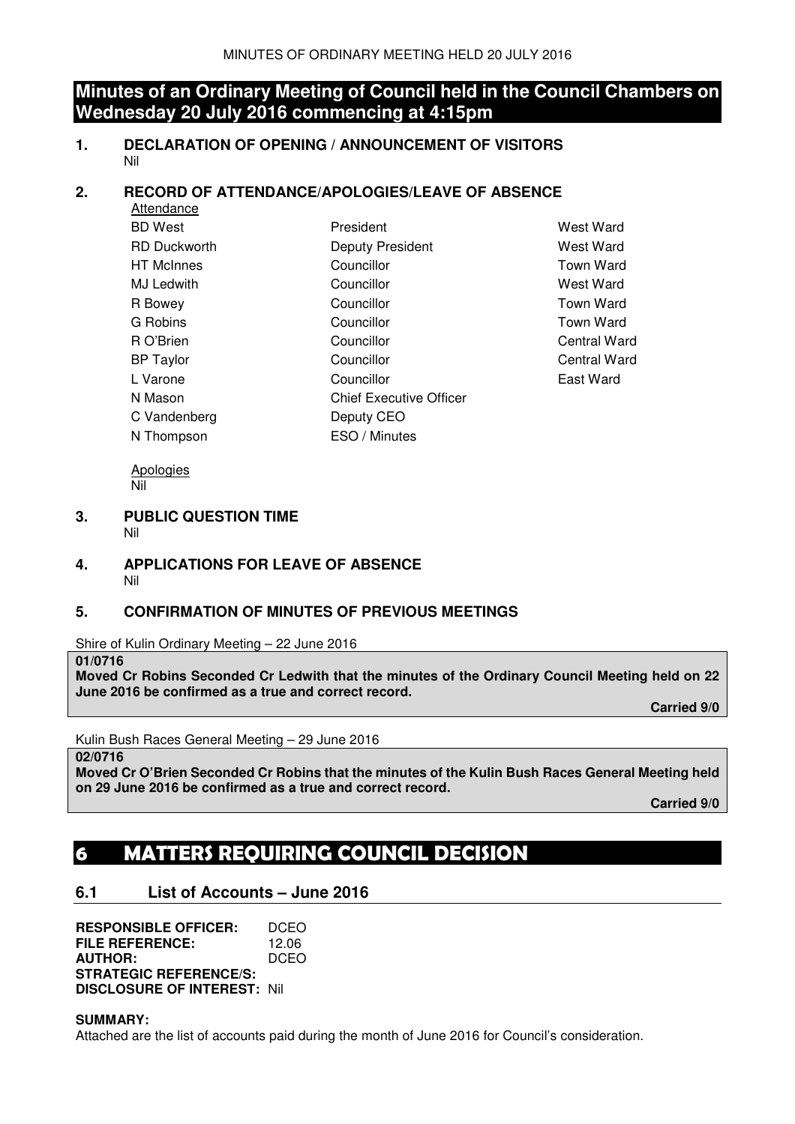## **Minutes of an Ordinary Meeting of Council held in the Council Chambers on Wednesday 20 July 2016 commencing at 4:15pm**

**1. DECLARATION OF OPENING / ANNOUNCEMENT OF VISITORS**  Nil

## **2. RECORD OF ATTENDANCE/APOLOGIES/LEAVE OF ABSENCE**

| President                      | West Ward           |
|--------------------------------|---------------------|
| Deputy President               | West Ward           |
| Councillor                     | <b>Town Ward</b>    |
| Councillor                     | West Ward           |
| Councillor                     | <b>Town Ward</b>    |
| Councillor                     | <b>Town Ward</b>    |
| Councillor                     | <b>Central Ward</b> |
| Councillor                     | <b>Central Ward</b> |
| Councillor                     | East Ward           |
| <b>Chief Executive Officer</b> |                     |
| Deputy CEO                     |                     |
| ESO / Minutes                  |                     |
|                                |                     |

**Apologies** Nil

- **3. PUBLIC QUESTION TIME** 
	- Nil

**4. APPLICATIONS FOR LEAVE OF ABSENCE**  Nil

## **5. CONFIRMATION OF MINUTES OF PREVIOUS MEETINGS**

Shire of Kulin Ordinary Meeting – 22 June 2016

## **01/0716**

**Moved Cr Robins Seconded Cr Ledwith that the minutes of the Ordinary Council Meeting held on 22 June 2016 be confirmed as a true and correct record.** 

 **Carried 9/0** 

Kulin Bush Races General Meeting – 29 June 2016

**02/0716** 

**Moved Cr O'Brien Seconded Cr Robins that the minutes of the Kulin Bush Races General Meeting held on 29 June 2016 be confirmed as a true and correct record.** 

**Carried 9/0** 

# **6 MATTERS REQUIRING COUNCIL DECISION**

## **6.1 List of Accounts – June 2016**

**RESPONSIBLE OFFICER:** DCEO **FILE REFERENCE:** 12.06 **AUTHOR:** DCEO **STRATEGIC REFERENCE/S: DISCLOSURE OF INTEREST:** Nil

## **SUMMARY:**

Attached are the list of accounts paid during the month of June 2016 for Council's consideration.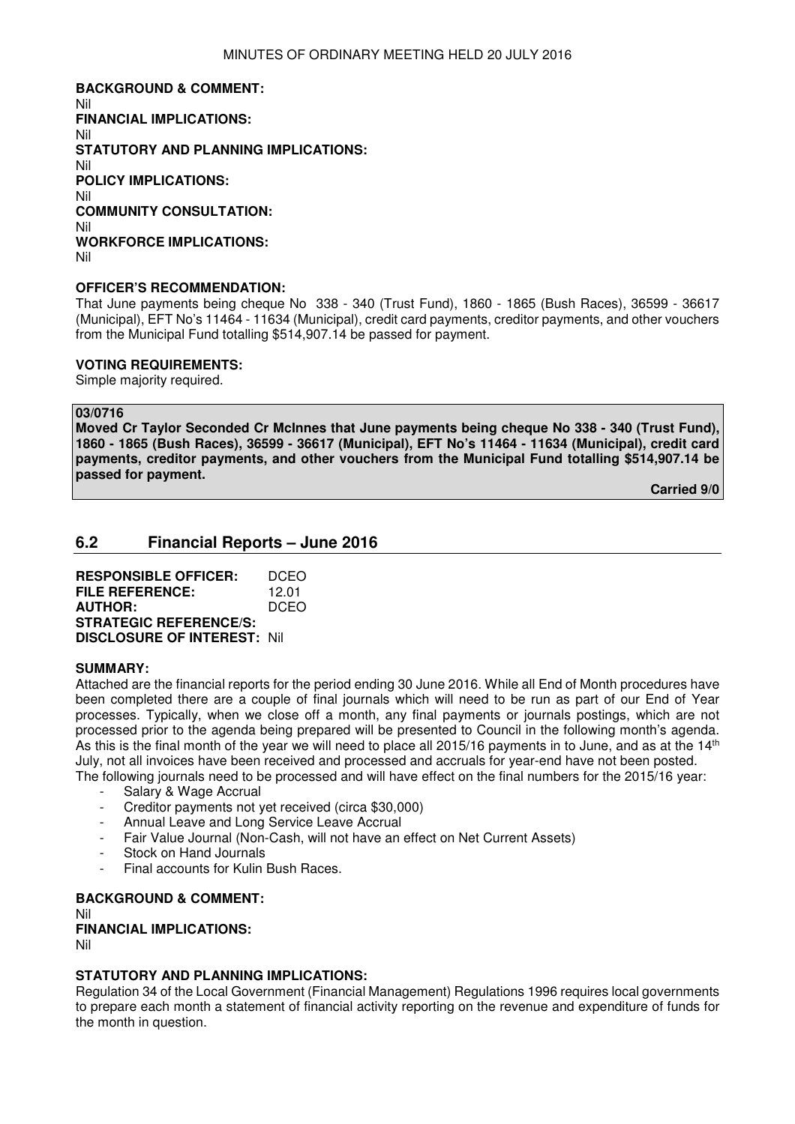**BACKGROUND & COMMENT:**  Nil **FINANCIAL IMPLICATIONS:**  Nil **STATUTORY AND PLANNING IMPLICATIONS:**  Nil **POLICY IMPLICATIONS:**  Nil **COMMUNITY CONSULTATION:**  Nil **WORKFORCE IMPLICATIONS:**  Nil

#### **OFFICER'S RECOMMENDATION:**

That June payments being cheque No 338 - 340 (Trust Fund), 1860 - 1865 (Bush Races), 36599 - 36617 (Municipal), EFT No's 11464 - 11634 (Municipal), credit card payments, creditor payments, and other vouchers from the Municipal Fund totalling \$514,907.14 be passed for payment.

## **VOTING REQUIREMENTS:**

Simple majority required.

#### **03/0716**

**Moved Cr Taylor Seconded Cr McInnes that June payments being cheque No 338 - 340 (Trust Fund), 1860 - 1865 (Bush Races), 36599 - 36617 (Municipal), EFT No's 11464 - 11634 (Municipal), credit card payments, creditor payments, and other vouchers from the Municipal Fund totalling \$514,907.14 be passed for payment.** 

**Carried 9/0** 

## **6.2 Financial Reports – June 2016**

**RESPONSIBLE OFFICER:** DCEO **FILE REFERENCE:** 12.01 **AUTHOR:** DCEO **STRATEGIC REFERENCE/S: DISCLOSURE OF INTEREST:** Nil

#### **SUMMARY:**

Attached are the financial reports for the period ending 30 June 2016. While all End of Month procedures have been completed there are a couple of final journals which will need to be run as part of our End of Year processes. Typically, when we close off a month, any final payments or journals postings, which are not processed prior to the agenda being prepared will be presented to Council in the following month's agenda. As this is the final month of the year we will need to place all 2015/16 payments in to June, and as at the 14<sup>th</sup> July, not all invoices have been received and processed and accruals for year-end have not been posted. The following journals need to be processed and will have effect on the final numbers for the 2015/16 year:

- Salary & Wage Accrual
- Creditor payments not yet received (circa \$30,000)
- Annual Leave and Long Service Leave Accrual
- Fair Value Journal (Non-Cash, will not have an effect on Net Current Assets)
- Stock on Hand Journals
- Final accounts for Kulin Bush Races.

**BACKGROUND & COMMENT:**  Nil **FINANCIAL IMPLICATIONS:** 

Nil

## **STATUTORY AND PLANNING IMPLICATIONS:**

Regulation 34 of the Local Government (Financial Management) Regulations 1996 requires local governments to prepare each month a statement of financial activity reporting on the revenue and expenditure of funds for the month in question.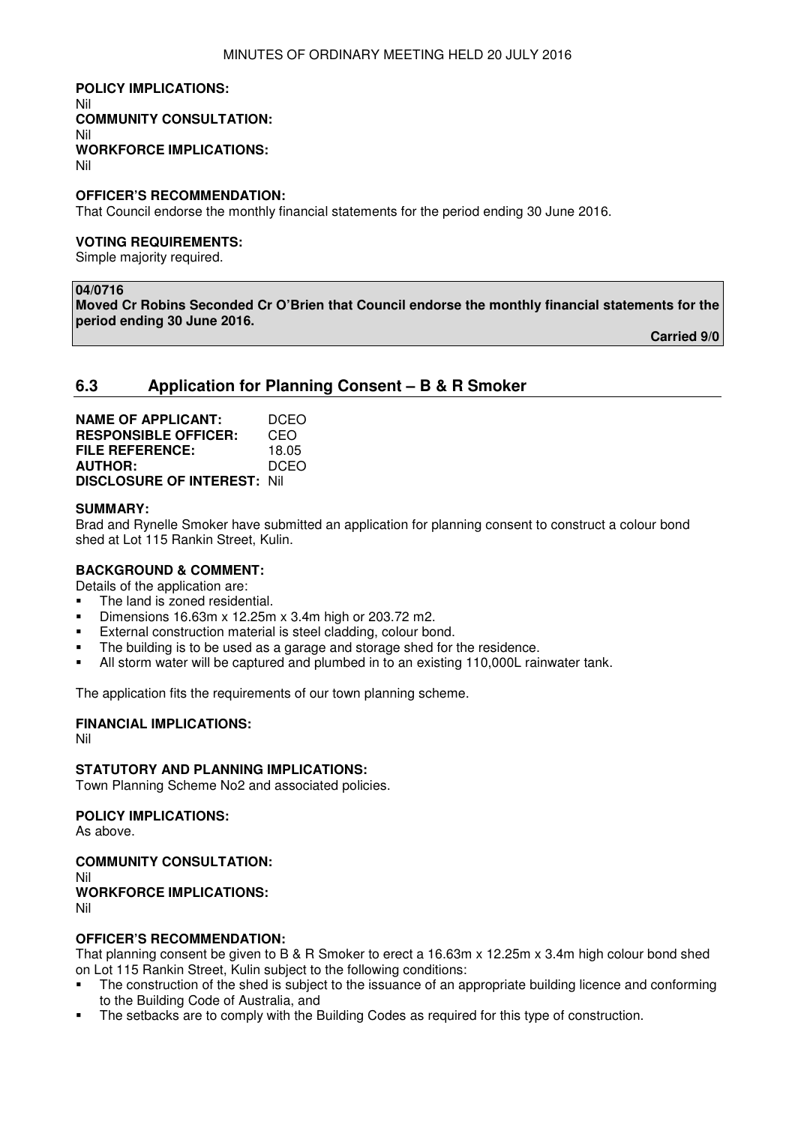#### **POLICY IMPLICATIONS:**  Nil **COMMUNITY CONSULTATION:**  Nil **WORKFORCE IMPLICATIONS:**  Nil

#### **OFFICER'S RECOMMENDATION:**

That Council endorse the monthly financial statements for the period ending 30 June 2016.

#### **VOTING REQUIREMENTS:**

Simple majority required.

#### **04/0716**

**Moved Cr Robins Seconded Cr O'Brien that Council endorse the monthly financial statements for the period ending 30 June 2016.** 

**Carried 9/0** 

## **6.3 Application for Planning Consent – B & R Smoker**

| <b>NAME OF APPLICANT:</b>           | DCEO        |
|-------------------------------------|-------------|
| <b>RESPONSIBLE OFFICER:</b>         | CEO         |
| FILE REFERENCE:                     | 18.05       |
| <b>AUTHOR:</b>                      | <b>DCEO</b> |
| <b>DISCLOSURE OF INTEREST: Nill</b> |             |

#### **SUMMARY:**

Brad and Rynelle Smoker have submitted an application for planning consent to construct a colour bond shed at Lot 115 Rankin Street, Kulin.

## **BACKGROUND & COMMENT:**

Details of the application are:

- The land is zoned residential.
- Dimensions 16.63m x 12.25m x 3.4m high or 203.72 m2.
- **External construction material is steel cladding, colour bond.**
- The building is to be used as a garage and storage shed for the residence.
- All storm water will be captured and plumbed in to an existing 110,000L rainwater tank.

The application fits the requirements of our town planning scheme.

## **FINANCIAL IMPLICATIONS:**

Nil

#### **STATUTORY AND PLANNING IMPLICATIONS:**

Town Planning Scheme No2 and associated policies.

#### **POLICY IMPLICATIONS:**

As above.

#### **COMMUNITY CONSULTATION:**

Nil

#### **WORKFORCE IMPLICATIONS:** Nil

#### **OFFICER'S RECOMMENDATION:**

That planning consent be given to B & R Smoker to erect a 16.63m x 12.25m x 3.4m high colour bond shed on Lot 115 Rankin Street, Kulin subject to the following conditions:

- The construction of the shed is subject to the issuance of an appropriate building licence and conforming to the Building Code of Australia, and
- The setbacks are to comply with the Building Codes as required for this type of construction.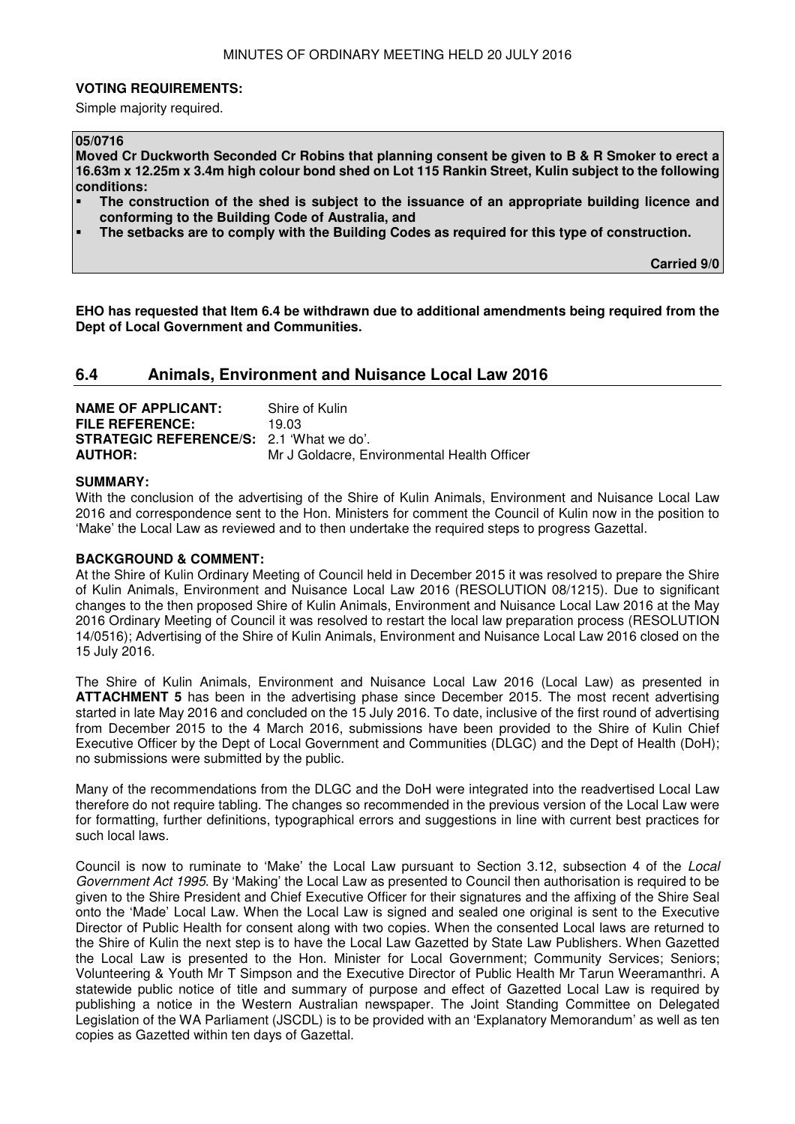#### **VOTING REQUIREMENTS:**

Simple majority required.

## **05/0716**

**Moved Cr Duckworth Seconded Cr Robins that planning consent be given to B & R Smoker to erect a 16.63m x 12.25m x 3.4m high colour bond shed on Lot 115 Rankin Street, Kulin subject to the following conditions:** 

- **The construction of the shed is subject to the issuance of an appropriate building licence and conforming to the Building Code of Australia, and**
- **The setbacks are to comply with the Building Codes as required for this type of construction.**

**Carried 9/0** 

**EHO has requested that Item 6.4 be withdrawn due to additional amendments being required from the Dept of Local Government and Communities.** 

## **6.4 Animals, Environment and Nuisance Local Law 2016**

| <b>NAME OF APPLICANT:</b>                       | Shire of Kulin                              |
|-------------------------------------------------|---------------------------------------------|
| <b>FILE REFERENCE:</b>                          | 19 O.3                                      |
| <b>STRATEGIC REFERENCE/S:</b> 2.1 'What we do'. |                                             |
| <b>AUTHOR:</b>                                  | Mr J Goldacre, Environmental Health Officer |

#### **SUMMARY:**

With the conclusion of the advertising of the Shire of Kulin Animals, Environment and Nuisance Local Law 2016 and correspondence sent to the Hon. Ministers for comment the Council of Kulin now in the position to 'Make' the Local Law as reviewed and to then undertake the required steps to progress Gazettal.

#### **BACKGROUND & COMMENT:**

At the Shire of Kulin Ordinary Meeting of Council held in December 2015 it was resolved to prepare the Shire of Kulin Animals, Environment and Nuisance Local Law 2016 (RESOLUTION 08/1215). Due to significant changes to the then proposed Shire of Kulin Animals, Environment and Nuisance Local Law 2016 at the May 2016 Ordinary Meeting of Council it was resolved to restart the local law preparation process (RESOLUTION 14/0516); Advertising of the Shire of Kulin Animals, Environment and Nuisance Local Law 2016 closed on the 15 July 2016.

The Shire of Kulin Animals, Environment and Nuisance Local Law 2016 (Local Law) as presented in **ATTACHMENT 5** has been in the advertising phase since December 2015. The most recent advertising started in late May 2016 and concluded on the 15 July 2016. To date, inclusive of the first round of advertising from December 2015 to the 4 March 2016, submissions have been provided to the Shire of Kulin Chief Executive Officer by the Dept of Local Government and Communities (DLGC) and the Dept of Health (DoH); no submissions were submitted by the public.

Many of the recommendations from the DLGC and the DoH were integrated into the readvertised Local Law therefore do not require tabling. The changes so recommended in the previous version of the Local Law were for formatting, further definitions, typographical errors and suggestions in line with current best practices for such local laws.

Council is now to ruminate to 'Make' the Local Law pursuant to Section 3.12, subsection 4 of the Local Government Act 1995. By 'Making' the Local Law as presented to Council then authorisation is required to be given to the Shire President and Chief Executive Officer for their signatures and the affixing of the Shire Seal onto the 'Made' Local Law. When the Local Law is signed and sealed one original is sent to the Executive Director of Public Health for consent along with two copies. When the consented Local laws are returned to the Shire of Kulin the next step is to have the Local Law Gazetted by State Law Publishers. When Gazetted the Local Law is presented to the Hon. Minister for Local Government; Community Services; Seniors; Volunteering & Youth Mr T Simpson and the Executive Director of Public Health Mr Tarun Weeramanthri. A statewide public notice of title and summary of purpose and effect of Gazetted Local Law is required by publishing a notice in the Western Australian newspaper. The Joint Standing Committee on Delegated Legislation of the WA Parliament (JSCDL) is to be provided with an 'Explanatory Memorandum' as well as ten copies as Gazetted within ten days of Gazettal.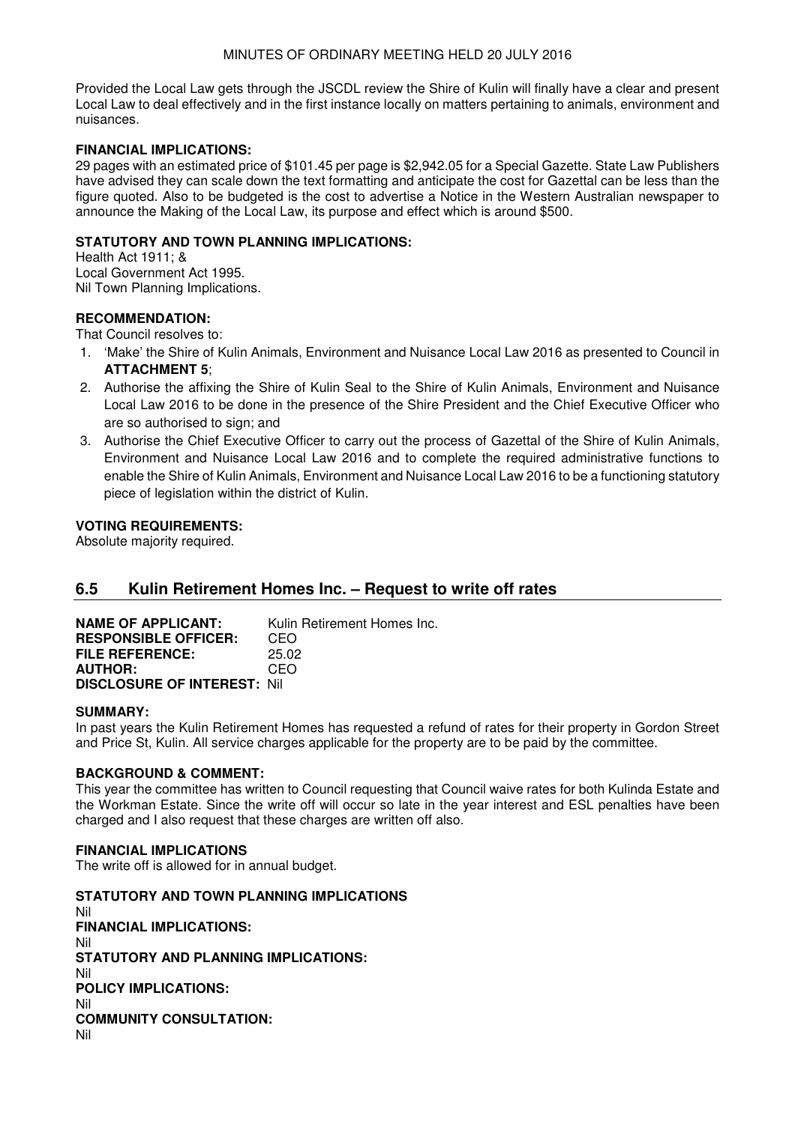Provided the Local Law gets through the JSCDL review the Shire of Kulin will finally have a clear and present Local Law to deal effectively and in the first instance locally on matters pertaining to animals, environment and nuisances.

## **FINANCIAL IMPLICATIONS:**

29 pages with an estimated price of \$101.45 per page is \$2,942.05 for a Special Gazette. State Law Publishers have advised they can scale down the text formatting and anticipate the cost for Gazettal can be less than the figure quoted. Also to be budgeted is the cost to advertise a Notice in the Western Australian newspaper to announce the Making of the Local Law, its purpose and effect which is around \$500.

## **STATUTORY AND TOWN PLANNING IMPLICATIONS:**

Health Act 1911; & Local Government Act 1995. Nil Town Planning Implications.

## **RECOMMENDATION:**

That Council resolves to:

- 1. 'Make' the Shire of Kulin Animals, Environment and Nuisance Local Law 2016 as presented to Council in **ATTACHMENT 5**;
- 2. Authorise the affixing the Shire of Kulin Seal to the Shire of Kulin Animals, Environment and Nuisance Local Law 2016 to be done in the presence of the Shire President and the Chief Executive Officer who are so authorised to sign; and
- 3. Authorise the Chief Executive Officer to carry out the process of Gazettal of the Shire of Kulin Animals, Environment and Nuisance Local Law 2016 and to complete the required administrative functions to enable the Shire of Kulin Animals, Environment and Nuisance Local Law 2016 to be a functioning statutory piece of legislation within the district of Kulin.

## **VOTING REQUIREMENTS:**

Absolute majority required.

## **6.5 Kulin Retirement Homes Inc. – Request to write off rates**

**NAME OF APPLICANT:** Kulin Retirement Homes Inc. **RESPONSIBLE OFFICER: CEO<br>FILE REFERENCE: 25.02 FILE REFERENCE:** 25.02 **AUTHOR: DISCLOSURE OF INTEREST:** Nil

## **SUMMARY:**

In past years the Kulin Retirement Homes has requested a refund of rates for their property in Gordon Street and Price St, Kulin. All service charges applicable for the property are to be paid by the committee.

## **BACKGROUND & COMMENT:**

This year the committee has written to Council requesting that Council waive rates for both Kulinda Estate and the Workman Estate. Since the write off will occur so late in the year interest and ESL penalties have been charged and I also request that these charges are written off also.

## **FINANCIAL IMPLICATIONS**

The write off is allowed for in annual budget.

**STATUTORY AND TOWN PLANNING IMPLICATIONS**  Nil **FINANCIAL IMPLICATIONS:** Nil **STATUTORY AND PLANNING IMPLICATIONS:**  Nil **POLICY IMPLICATIONS:** Nil **COMMUNITY CONSULTATION:** Nil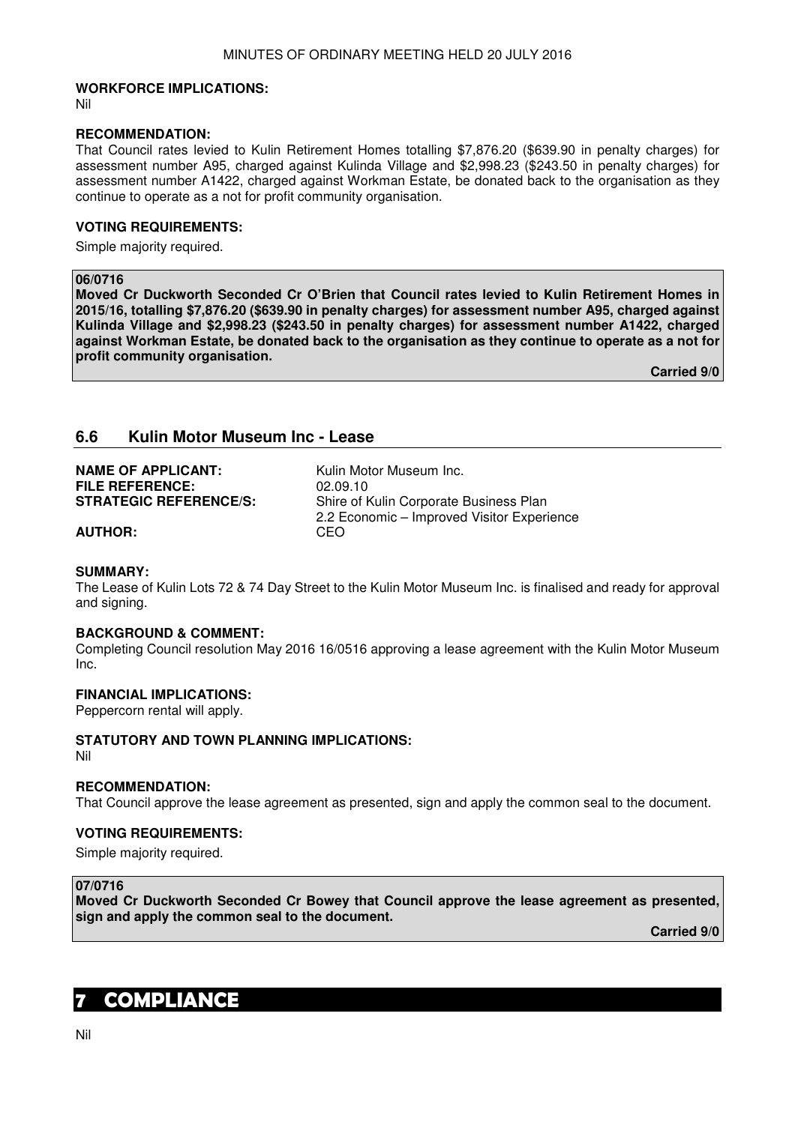## **WORKFORCE IMPLICATIONS:**

Nil

#### **RECOMMENDATION:**

That Council rates levied to Kulin Retirement Homes totalling \$7,876.20 (\$639.90 in penalty charges) for assessment number A95, charged against Kulinda Village and \$2,998.23 (\$243.50 in penalty charges) for assessment number A1422, charged against Workman Estate, be donated back to the organisation as they continue to operate as a not for profit community organisation.

## **VOTING REQUIREMENTS:**

Simple majority required.

## **06/0716**

**Moved Cr Duckworth Seconded Cr O'Brien that Council rates levied to Kulin Retirement Homes in 2015/16, totalling \$7,876.20 (\$639.90 in penalty charges) for assessment number A95, charged against Kulinda Village and \$2,998.23 (\$243.50 in penalty charges) for assessment number A1422, charged against Workman Estate, be donated back to the organisation as they continue to operate as a not for profit community organisation.** 

**Carried 9/0** 

## **6.6 Kulin Motor Museum Inc - Lease**

| <b>NAME OF APPLICANT:</b>     | Kulin Motor Museum Inc.                    |
|-------------------------------|--------------------------------------------|
| <b>FILE REFERENCE:</b>        | 02.09.10                                   |
| <b>STRATEGIC REFERENCE/S:</b> | Shire of Kulin Corporate Business Plan     |
|                               | 2.2 Economic – Improved Visitor Experience |
| <b>AUTHOR:</b>                | CEO                                        |

# **SUMMARY:**

The Lease of Kulin Lots 72 & 74 Day Street to the Kulin Motor Museum Inc. is finalised and ready for approval and signing.

#### **BACKGROUND & COMMENT:**

Completing Council resolution May 2016 16/0516 approving a lease agreement with the Kulin Motor Museum Inc.

### **FINANCIAL IMPLICATIONS:**

Peppercorn rental will apply.

## **STATUTORY AND TOWN PLANNING IMPLICATIONS:**

Nil

## **RECOMMENDATION:**

That Council approve the lease agreement as presented, sign and apply the common seal to the document.

#### **VOTING REQUIREMENTS:**

Simple majority required.

## **07/0716**

**Moved Cr Duckworth Seconded Cr Bowey that Council approve the lease agreement as presented, sign and apply the common seal to the document.** 

**Carried 9/0** 

# **7 COMPLIANCE**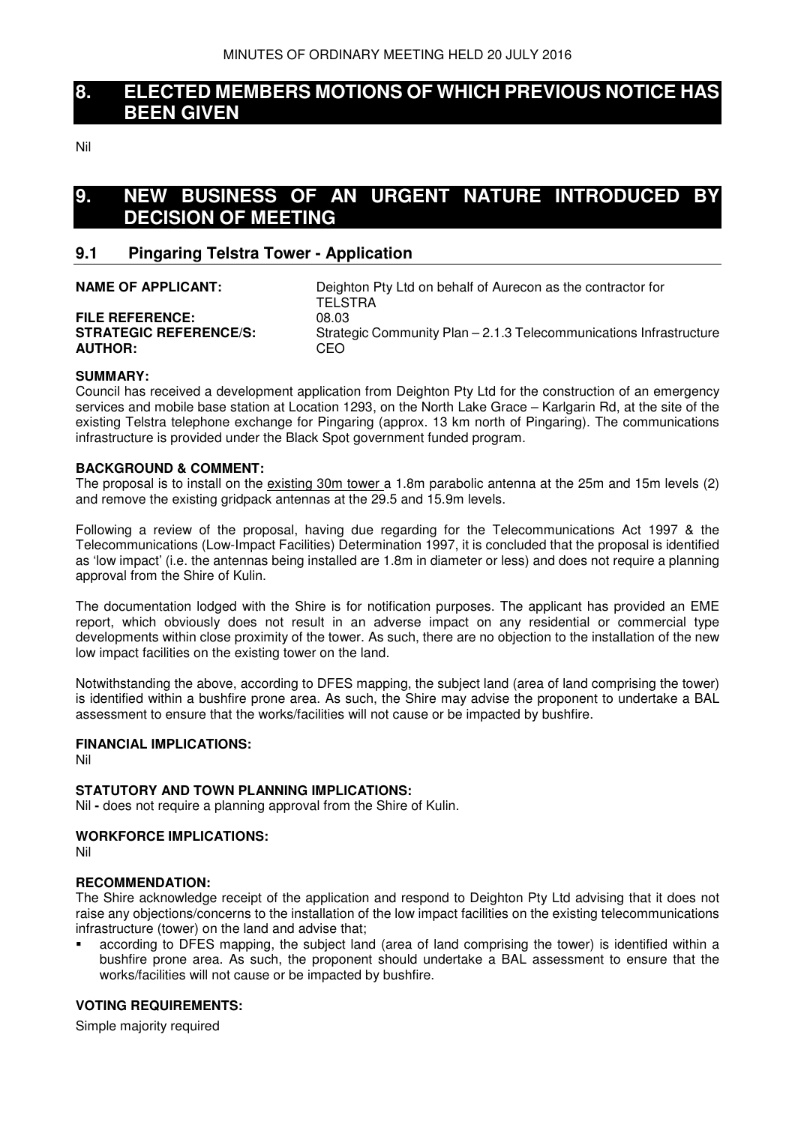## **8. ELECTED MEMBERS MOTIONS OF WHICH PREVIOUS NOTICE HAS BEEN GIVEN**

Nil

# **9. NEW BUSINESS OF AN URGENT NATURE INTRODUCED BY DECISION OF MEETING**

## **9.1 Pingaring Telstra Tower - Application**

| <b>NAME OF APPLICANT:</b>     | Deighton Pty Ltd on behalf of Aurecon as the contractor for<br><b>TELSTRA</b> |
|-------------------------------|-------------------------------------------------------------------------------|
| <b>FILE REFERENCE:</b>        | 08.03                                                                         |
| <b>STRATEGIC REFERENCE/S:</b> | Strategic Community Plan – 2.1.3 Telecommunications Infrastructure            |
| <b>AUTHOR:</b>                | CEO                                                                           |

## **SUMMARY:**

Council has received a development application from Deighton Pty Ltd for the construction of an emergency services and mobile base station at Location 1293, on the North Lake Grace – Karlgarin Rd, at the site of the existing Telstra telephone exchange for Pingaring (approx. 13 km north of Pingaring). The communications infrastructure is provided under the Black Spot government funded program.

## **BACKGROUND & COMMENT:**

The proposal is to install on the existing 30m tower a 1.8m parabolic antenna at the 25m and 15m levels (2) and remove the existing gridpack antennas at the 29.5 and 15.9m levels.

Following a review of the proposal, having due regarding for the Telecommunications Act 1997 & the Telecommunications (Low-Impact Facilities) Determination 1997, it is concluded that the proposal is identified as 'low impact' (i.e. the antennas being installed are 1.8m in diameter or less) and does not require a planning approval from the Shire of Kulin.

The documentation lodged with the Shire is for notification purposes. The applicant has provided an EME report, which obviously does not result in an adverse impact on any residential or commercial type developments within close proximity of the tower. As such, there are no objection to the installation of the new low impact facilities on the existing tower on the land.

Notwithstanding the above, according to DFES mapping, the subject land (area of land comprising the tower) is identified within a bushfire prone area. As such, the Shire may advise the proponent to undertake a BAL assessment to ensure that the works/facilities will not cause or be impacted by bushfire.

#### **FINANCIAL IMPLICATIONS:**

Nil

#### **STATUTORY AND TOWN PLANNING IMPLICATIONS:**

Nil **-** does not require a planning approval from the Shire of Kulin.

## **WORKFORCE IMPLICATIONS:**

Nil

#### **RECOMMENDATION:**

The Shire acknowledge receipt of the application and respond to Deighton Pty Ltd advising that it does not raise any objections/concerns to the installation of the low impact facilities on the existing telecommunications infrastructure (tower) on the land and advise that;

 according to DFES mapping, the subject land (area of land comprising the tower) is identified within a bushfire prone area. As such, the proponent should undertake a BAL assessment to ensure that the works/facilities will not cause or be impacted by bushfire.

## **VOTING REQUIREMENTS:**

Simple majority required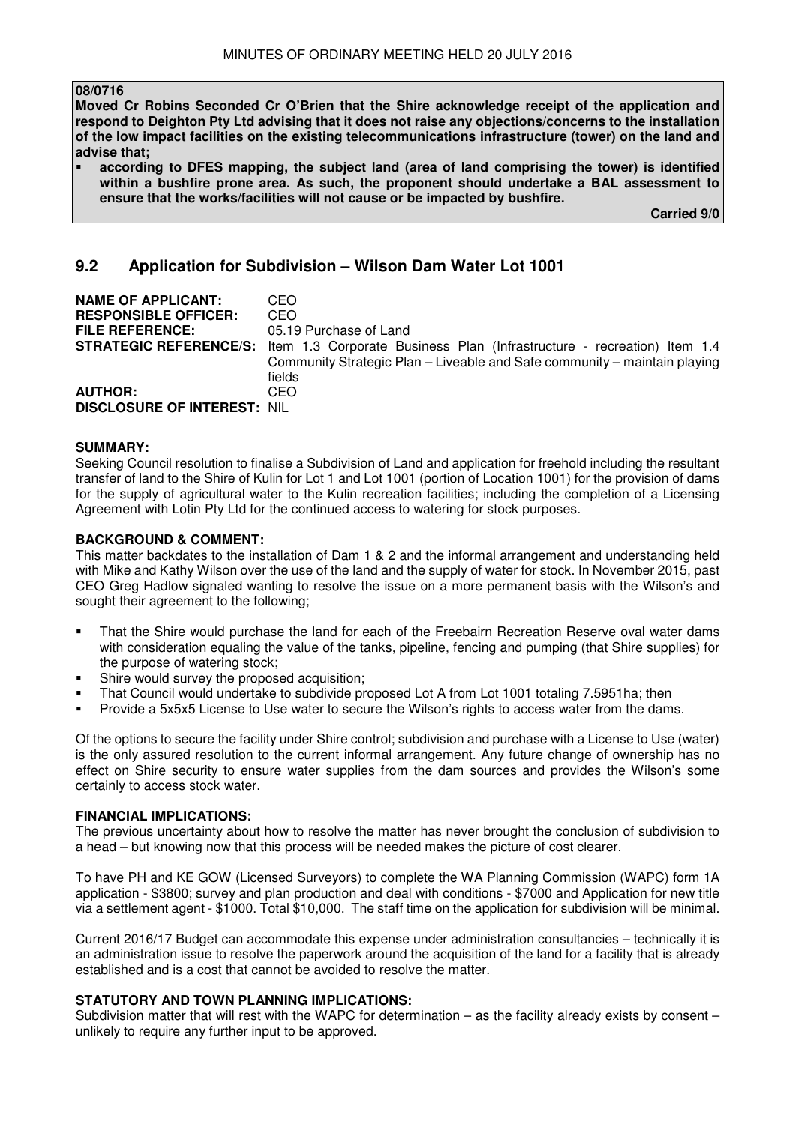#### **08/0716**

**Moved Cr Robins Seconded Cr O'Brien that the Shire acknowledge receipt of the application and respond to Deighton Pty Ltd advising that it does not raise any objections/concerns to the installation of the low impact facilities on the existing telecommunications infrastructure (tower) on the land and advise that;** 

 **according to DFES mapping, the subject land (area of land comprising the tower) is identified within a bushfire prone area. As such, the proponent should undertake a BAL assessment to ensure that the works/facilities will not cause or be impacted by bushfire.** 

**Carried 9/0** 

## **9.2 Application for Subdivision – Wilson Dam Water Lot 1001**

| <b>NAME OF APPLICANT:</b><br><b>RESPONSIBLE OFFICER:</b><br><b>FILE REFERENCE:</b> | CEO<br>CEO<br>05.19 Purchase of Land                                                                                                                 |
|------------------------------------------------------------------------------------|------------------------------------------------------------------------------------------------------------------------------------------------------|
| <b>STRATEGIC REFERENCE/S:</b>                                                      | Item 1.3 Corporate Business Plan (Infrastructure - recreation) Item 1.4<br>Community Strategic Plan – Liveable and Safe community – maintain playing |
|                                                                                    | fields                                                                                                                                               |
| <b>AUTHOR:</b>                                                                     | CEO                                                                                                                                                  |
| <b>DISCLOSURE OF INTEREST: NIL</b>                                                 |                                                                                                                                                      |

#### **SUMMARY:**

Seeking Council resolution to finalise a Subdivision of Land and application for freehold including the resultant transfer of land to the Shire of Kulin for Lot 1 and Lot 1001 (portion of Location 1001) for the provision of dams for the supply of agricultural water to the Kulin recreation facilities; including the completion of a Licensing Agreement with Lotin Pty Ltd for the continued access to watering for stock purposes.

#### **BACKGROUND & COMMENT:**

This matter backdates to the installation of Dam 1 & 2 and the informal arrangement and understanding held with Mike and Kathy Wilson over the use of the land and the supply of water for stock. In November 2015, past CEO Greg Hadlow signaled wanting to resolve the issue on a more permanent basis with the Wilson's and sought their agreement to the following;

- That the Shire would purchase the land for each of the Freebairn Recreation Reserve oval water dams with consideration equaling the value of the tanks, pipeline, fencing and pumping (that Shire supplies) for the purpose of watering stock;
- Shire would survey the proposed acquisition;
- That Council would undertake to subdivide proposed Lot A from Lot 1001 totaling 7.5951ha; then
- Provide a 5x5x5 License to Use water to secure the Wilson's rights to access water from the dams.

Of the options to secure the facility under Shire control; subdivision and purchase with a License to Use (water) is the only assured resolution to the current informal arrangement. Any future change of ownership has no effect on Shire security to ensure water supplies from the dam sources and provides the Wilson's some certainly to access stock water.

#### **FINANCIAL IMPLICATIONS:**

The previous uncertainty about how to resolve the matter has never brought the conclusion of subdivision to a head – but knowing now that this process will be needed makes the picture of cost clearer.

To have PH and KE GOW (Licensed Surveyors) to complete the WA Planning Commission (WAPC) form 1A application - \$3800; survey and plan production and deal with conditions - \$7000 and Application for new title via a settlement agent - \$1000. Total \$10,000. The staff time on the application for subdivision will be minimal.

Current 2016/17 Budget can accommodate this expense under administration consultancies – technically it is an administration issue to resolve the paperwork around the acquisition of the land for a facility that is already established and is a cost that cannot be avoided to resolve the matter.

## **STATUTORY AND TOWN PLANNING IMPLICATIONS:**

Subdivision matter that will rest with the WAPC for determination – as the facility already exists by consent – unlikely to require any further input to be approved.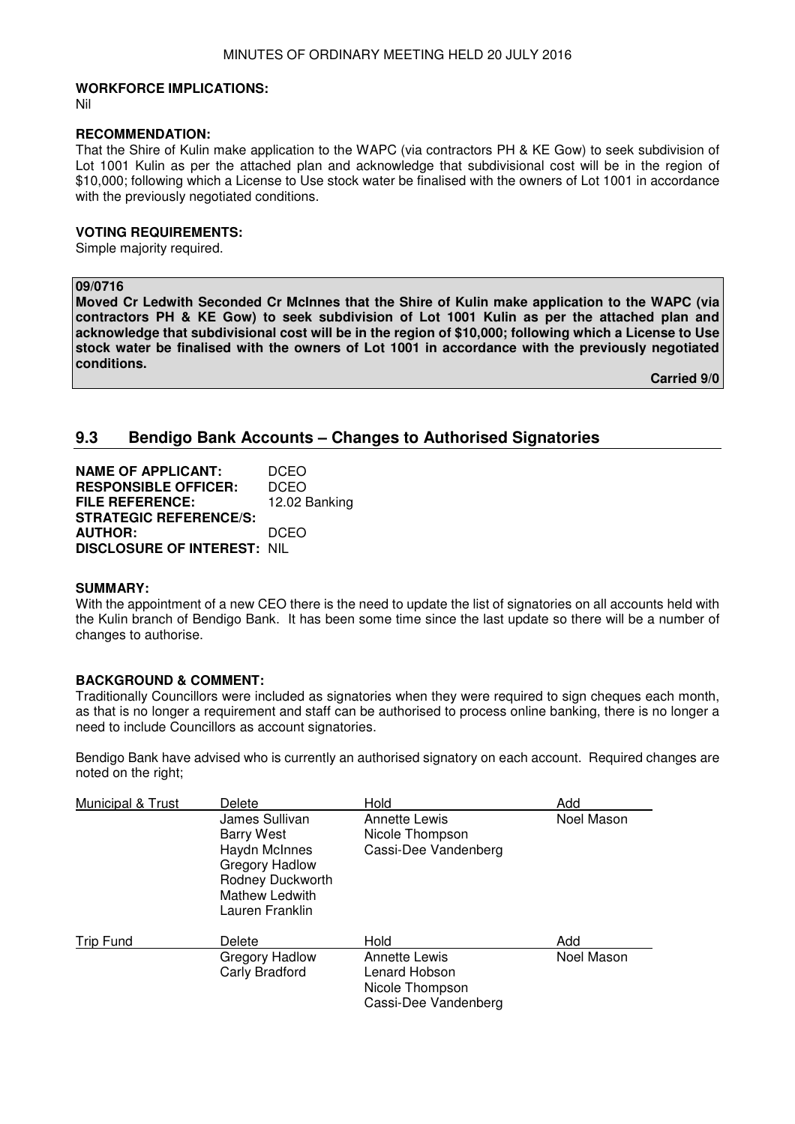#### **WORKFORCE IMPLICATIONS:**

Nil

#### **RECOMMENDATION:**

That the Shire of Kulin make application to the WAPC (via contractors PH & KE Gow) to seek subdivision of Lot 1001 Kulin as per the attached plan and acknowledge that subdivisional cost will be in the region of \$10,000; following which a License to Use stock water be finalised with the owners of Lot 1001 in accordance with the previously negotiated conditions.

#### **VOTING REQUIREMENTS:**

Simple majority required.

## **09/0716**

**Moved Cr Ledwith Seconded Cr McInnes that the Shire of Kulin make application to the WAPC (via contractors PH & KE Gow) to seek subdivision of Lot 1001 Kulin as per the attached plan and acknowledge that subdivisional cost will be in the region of \$10,000; following which a License to Use stock water be finalised with the owners of Lot 1001 in accordance with the previously negotiated conditions.** 

**Carried 9/0** 

## **9.3 Bendigo Bank Accounts – Changes to Authorised Signatories**

| <b>NAME OF APPLICANT:</b>          | <b>DCEO</b>   |
|------------------------------------|---------------|
| <b>RESPONSIBLE OFFICER:</b>        | <b>DCEO</b>   |
| <b>FILE REFERENCE:</b>             | 12.02 Banking |
| <b>STRATEGIC REFERENCE/S:</b>      |               |
| <b>AUTHOR:</b>                     | DCEO          |
| <b>DISCLOSURE OF INTEREST: NIL</b> |               |

#### **SUMMARY:**

With the appointment of a new CEO there is the need to update the list of signatories on all accounts held with the Kulin branch of Bendigo Bank. It has been some time since the last update so there will be a number of changes to authorise.

## **BACKGROUND & COMMENT:**

Traditionally Councillors were included as signatories when they were required to sign cheques each month, as that is no longer a requirement and staff can be authorised to process online banking, there is no longer a need to include Councillors as account signatories.

Bendigo Bank have advised who is currently an authorised signatory on each account. Required changes are noted on the right;

| Municipal & Trust | Delete                                                                                                                                 | Hold                                                                             | Add        |
|-------------------|----------------------------------------------------------------------------------------------------------------------------------------|----------------------------------------------------------------------------------|------------|
|                   | James Sullivan<br><b>Barry West</b><br>Haydn McInnes<br>Gregory Hadlow<br>Rodney Duckworth<br><b>Mathew Ledwith</b><br>Lauren Franklin | <b>Annette Lewis</b><br>Nicole Thompson<br>Cassi-Dee Vandenberg                  | Noel Mason |
| Trip Fund         | Delete                                                                                                                                 | Hold                                                                             | Add        |
|                   | Gregory Hadlow<br>Carly Bradford                                                                                                       | <b>Annette Lewis</b><br>Lenard Hobson<br>Nicole Thompson<br>Cassi-Dee Vandenberg | Noel Mason |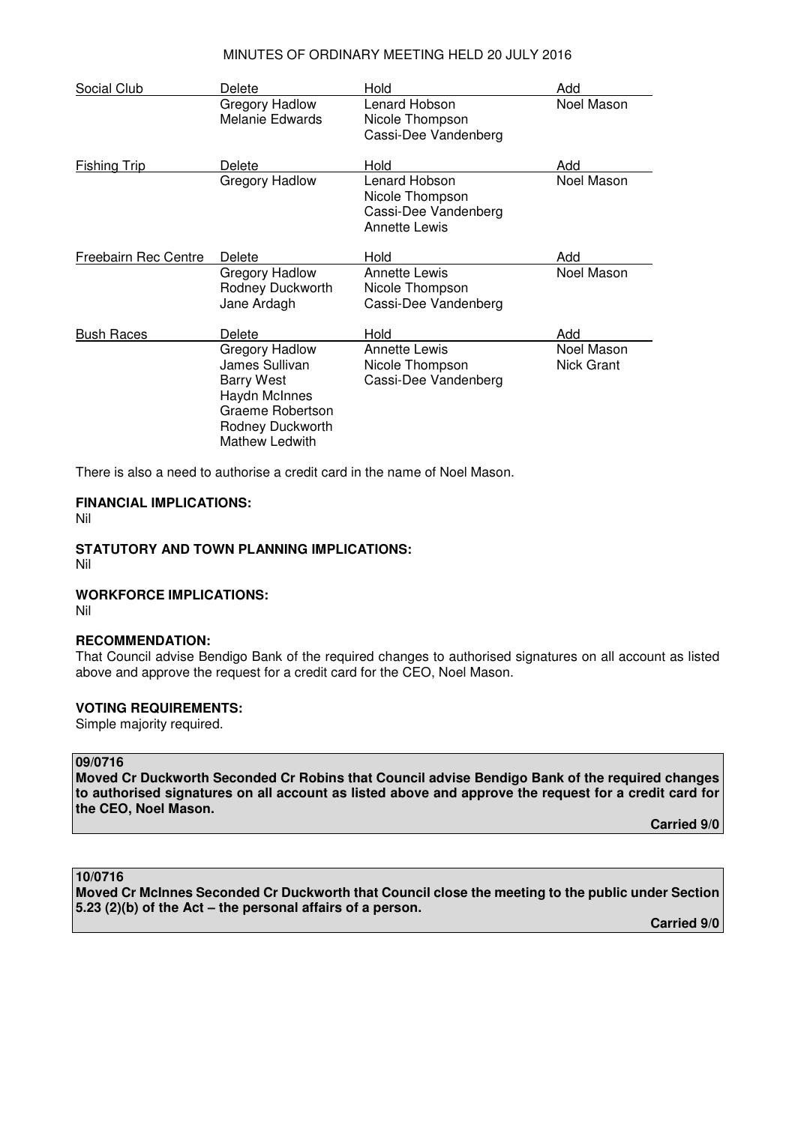## MINUTES OF ORDINARY MEETING HELD 20 JULY 2016

| Social Club          | Delete                                                                                                                                  | Hold                                                                             | Add                      |
|----------------------|-----------------------------------------------------------------------------------------------------------------------------------------|----------------------------------------------------------------------------------|--------------------------|
|                      | Gregory Hadlow<br>Melanie Edwards                                                                                                       | Lenard Hobson<br>Nicole Thompson<br>Cassi-Dee Vandenberg                         | Noel Mason               |
| <b>Fishing Trip</b>  | Delete                                                                                                                                  | Hold                                                                             | Add                      |
|                      | Gregory Hadlow                                                                                                                          | Lenard Hobson<br>Nicole Thompson<br>Cassi-Dee Vandenberg<br><b>Annette Lewis</b> | Noel Mason               |
| Freebairn Rec Centre | Delete                                                                                                                                  | Hold                                                                             | Add                      |
|                      | Gregory Hadlow<br>Rodney Duckworth<br>Jane Ardagh                                                                                       | <b>Annette Lewis</b><br>Nicole Thompson<br>Cassi-Dee Vandenberg                  | Noel Mason               |
| <b>Bush Races</b>    | Delete                                                                                                                                  | Hold                                                                             | Add                      |
|                      | Gregory Hadlow<br>James Sullivan<br><b>Barry West</b><br>Haydn McInnes<br>Graeme Robertson<br>Rodney Duckworth<br><b>Mathew Ledwith</b> | <b>Annette Lewis</b><br>Nicole Thompson<br>Cassi-Dee Vandenberg                  | Noel Mason<br>Nick Grant |

There is also a need to authorise a credit card in the name of Noel Mason.

## **FINANCIAL IMPLICATIONS:**

Nil

## **STATUTORY AND TOWN PLANNING IMPLICATIONS:**

Nil

## **WORKFORCE IMPLICATIONS:**

Nil

#### **RECOMMENDATION:**

That Council advise Bendigo Bank of the required changes to authorised signatures on all account as listed above and approve the request for a credit card for the CEO, Noel Mason.

## **VOTING REQUIREMENTS:**

Simple majority required.

#### **09/0716**

**Moved Cr Duckworth Seconded Cr Robins that Council advise Bendigo Bank of the required changes to authorised signatures on all account as listed above and approve the request for a credit card for the CEO, Noel Mason.** 

**Carried 9/0** 

## **10/0716**

**Moved Cr McInnes Seconded Cr Duckworth that Council close the meeting to the public under Section 5.23 (2)(b) of the Act – the personal affairs of a person.** 

**Carried 9/0**